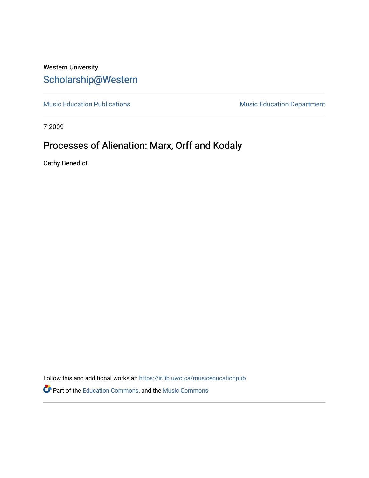## Western University [Scholarship@Western](https://ir.lib.uwo.ca/)

[Music Education Publications](https://ir.lib.uwo.ca/musiceducationpub) **Music Education Department** 

7-2009

# Processes of Alienation: Marx, Orff and Kodaly

Cathy Benedict

Follow this and additional works at: [https://ir.lib.uwo.ca/musiceducationpub](https://ir.lib.uwo.ca/musiceducationpub?utm_source=ir.lib.uwo.ca%2Fmusiceducationpub%2F1&utm_medium=PDF&utm_campaign=PDFCoverPages) Part of the [Education Commons](http://network.bepress.com/hgg/discipline/784?utm_source=ir.lib.uwo.ca%2Fmusiceducationpub%2F1&utm_medium=PDF&utm_campaign=PDFCoverPages), and the [Music Commons](http://network.bepress.com/hgg/discipline/518?utm_source=ir.lib.uwo.ca%2Fmusiceducationpub%2F1&utm_medium=PDF&utm_campaign=PDFCoverPages)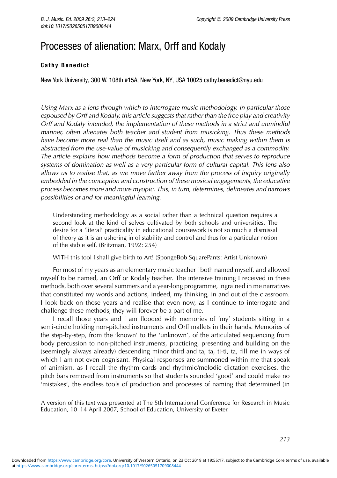## Processes of alienation: Marx, Orff and Kodaly

### **Cathy Benedict**

New York University, 300 W. 108th #15A, New York, NY, USA 10025 cathy.benedict@nyu.edu

Using Marx as a lens through which to interrogate music methodology, in particular those espoused by Orff and Kodaly, this article suggests that rather than the free play and creativity Orff and Kodaly intended, the implementation of these methods in a strict and unmindful manner, often alienates both teacher and student from musicking. Thus these methods have become more real than the music itself and as such, music making within them is abstracted from the use-value of musicking and consequently exchanged as a commodity. The article explains how methods become a form of production that serves to reproduce systems of domination as well as a very particular form of cultural capital. This lens also allows us to realise that, as we move farther away from the process of inquiry originally embedded in the conception and construction of these musical engagements, the educative process becomes more and more myopic. This, in turn, determines, delineates and narrows *possibilities of and for meaningful learning.*

*Understanding methodology as a social rather than a technical question requires a second look at the kind of selves cultivated by both schools and universities. The desire for a 'literal' practicality in educational coursework is not so much a dismissal of theory as it is an ushering in of stability and control and thus for a particular notion of the stable self. (Britzman, 1992: 254)*

*WITH this tool I shall give birth to Art! (SpongeBob SquarePants: Artist Unknown)*

*For most of my years as an elementary music teacher I both named myself, and allowed myself to be named, an Orff or Kodaly teacher. The intensive training I received in these methods, both over several summers and a year-long programme, ingrained in me narratives that constituted my words and actions, indeed, my thinking, in and out of the classroom. I look back on those years and realise that even now, as I continue to interrogate and challenge these methods, they will forever be a part of me.*

*I recall those years and I am flooded with memories of 'my' students sitting in a semi-circle holding non-pitched instruments and Orff mallets in their hands. Memories of the step-by-step, from the 'known' to the 'unknown', of the articulated sequencing from body percussion to non-pitched instruments, practicing, presenting and building on the (seemingly always already) descending minor third and ta, ta, ti-ti, ta, fill me in ways of which I am not even cognisant. Physical responses are summoned within me that speak of animism, as I recall the rhythm cards and rhythmic/melodic dictation exercises, the pitch bars removed from instruments so that students sounded 'good' and could make no 'mistakes', the endless tools of production and processes of naming that determined (in*

*A version of this text was presented at The 5th International Conference for Research in Music Education, 10–14 April 2007, School of Education, University of Exeter.*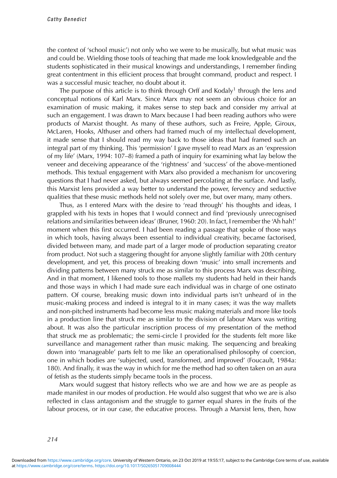*the context of 'school music') not only who we were to be musically, but what music was and could be. Wielding those tools of teaching that made me look knowledgeable and the students sophisticated in their musical knowings and understandings, I remember finding great contentment in this efficient process that brought command, product and respect. I was a successful music teacher, no doubt about it.*

*The purpose of this article is to think through Orff and Kodaly<sup>1</sup> through the lens and conceptual notions of Karl Marx. Since Marx may not seem an obvious choice for an examination of music making, it makes sense to step back and consider my arrival at such an engagement. I was drawn to Marx because I had been reading authors who were products of Marxist thought. As many of these authors, such as Freire, Apple, Giroux, McLaren, Hooks, Althuser and others had framed much of my intellectual development, it made sense that I should read my way back to those ideas that had framed such an integral part of my thinking. This 'permission' I gave myself to read Marx as an 'expression of my life' (Marx, 1994: 107–8) framed a path of inquiry for examining what lay below the veneer and deceiving appearance of the 'rightness' and 'success' of the above-mentioned methods. This textual engagement with Marx also provided a mechanism for uncovering questions that I had never asked, but always seemed percolating at the surface. And lastly, this Marxist lens provided a way better to understand the power, fervency and seductive qualities that these music methods held not solely over me, but over many, many others.*

*Thus, as I entered Marx with the desire to 'read through' his thoughts and ideas, I grappled with his texts in hopes that I would connect and find 'previously unrecognised relations and similarities between ideas' (Bruner, 1960: 20). In fact, I remember the 'Ah hah!' moment when this first occurred. I had been reading a passage that spoke of those ways in which tools, having always been essential to individual creativity, became factorised, divided between many, and made part of a larger mode of production separating creator from product. Not such a staggering thought for anyone slightly familiar with 20th century development, and yet, this process of breaking down 'music' into small increments and dividing patterns between many struck me as similar to this process Marx was describing. And in that moment, I likened tools to those mallets my students had held in their hands and those ways in which I had made sure each individual was in charge of one ostinato pattern. Of course, breaking music down into individual parts isn't unheard of in the music-making process and indeed is integral to it in many cases; it was the way mallets and non-pitched instruments had become less music making materials and more like tools in a production line that struck me as similar to the division of labour Marx was writing about. It was also the particular inscription process of my presentation of the method that struck me as problematic; the semi-circle I provided for the students felt more like surveillance and management rather than music making. The sequencing and breaking down into 'manageable' parts felt to me like an operationalised philosophy of coercion, one in which bodies are 'subjected, used, transformed, and improved' (Foucault, 1984a: 180). And finally, it was the way in which for me the method had so often taken on an aura of fetish as the students simply became tools in the process.*

*Marx would suggest that history reflects who we are and how we are as people as made manifest in our modes of production. He would also suggest that who we are is also reflected in class antagonism and the struggle to garner equal shares in the fruits of the labour process, or in our case, the educative process. Through a Marxist lens, then, how*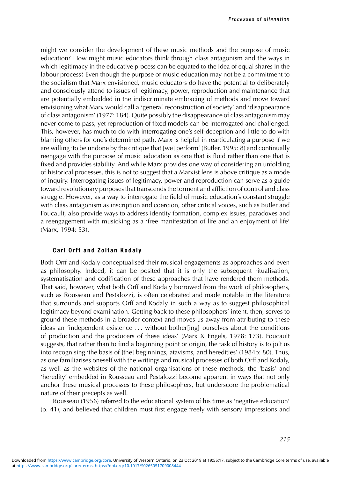*might we consider the development of these music methods and the purpose of music education? How might music educators think through class antagonism and the ways in which legitimacy in the educative process can be equated to the idea of equal shares in the labour process? Even though the purpose of music education may not be a commitment to the socialism that Marx envisioned, music educators do have the potential to deliberately and consciously attend to issues of legitimacy, power, reproduction and maintenance that are potentially embedded in the indiscriminate embracing of methods and move toward envisioning what Marx would call a 'general reconstruction of society' and 'disappearance of class antagonism' (1977: 184). Quite possibly the disappearance of class antagonism may never come to pass, yet reproduction of fixed models can be interrogated and challenged. This, however, has much to do with interrogating one's self-deception and little to do with blaming others for one's determined path. Marx is helpful in rearticulating a purpose if we are willing 'to be undone by the critique that [we] perform' (Butler, 1995: 8) and continually reengage with the purpose of music education as one that is fluid rather than one that is fixed and provides stability. And while Marx provides one way of considering an unfolding of historical processes, this is not to suggest that a Marxist lens is above critique as a mode of inquiry. Interrogating issues of legitimacy, power and reproduction can serve as a guide toward revolutionary purposes that transcends the torment and affliction of control and class struggle. However, as a way to interrogate the field of music education's constant struggle with class antagonism as inscription and coercion, other critical voices, such as Butler and Foucault, also provide ways to address identity formation, complex issues, paradoxes and a reengagement with musicking as a 'free manifestation of life and an enjoyment of life' (Marx, 1994: 53).*

#### **Carl Orff and Zoltan Kodaly**

*Both Orff and Kodaly conceptualised their musical engagements as approaches and even as philosophy. Indeed, it can be posited that it is only the subsequent ritualisation, systematisation and codification of these approaches that have rendered them methods. That said, however, what both Orff and Kodaly borrowed from the work of philosophers, such as Rousseau and Pestalozzi, is often celebrated and made notable in the literature that surrounds and supports Orff and Kodaly in such a way as to suggest philosophical legitimacy beyond examination. Getting back to these philosophers' intent, then, serves to ground these methods in a broader context and moves us away from attributing to these ideas an 'independent existence* ... *without bother[ing] ourselves about the conditions of production and the producers of these ideas' (Marx & Engels, 1978: 173). Foucault suggests, that rather than to find a beginning point or origin, the task of history is to jolt us into recognising 'the basis of [the] beginnings, atavisms, and heredities' (1984b: 80). Thus, as one familiarises oneself with the writings and musical processes of both Orff and Kodaly, as well as the websites of the national organisations of these methods, the 'basis' and 'heredity' embedded in Rousseau and Pestalozzi become apparent in ways that not only anchor these musical processes to these philosophers, but underscore the problematical nature of their precepts as well.*

*Rousseau (1956) referred to the educational system of his time as 'negative education' (p. 41), and believed that children must first engage freely with sensory impressions and*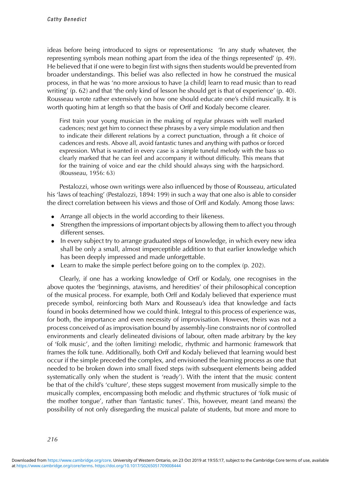*ideas before being introduced to signs or representations***:** *'In any study whatever, the representing symbols mean nothing apart from the idea of the things represented' (p. 49). He believed that if one were to begin first with signs then students would be prevented from broader understandings. This belief was also reflected in how he construed the musical process, in that he was 'no more anxious to have [a child] learn to read music than to read writing' (p. 62) and that 'the only kind of lesson he should get is that of experience' (p. 40). Rousseau wrote rather extensively on how one should educate one's child musically. It is worth quoting him at length so that the basis of Orff and Kodaly become clearer.*

*First train your young musician in the making of regular phrases with well marked cadences; next get him to connect these phrases by a very simple modulation and then to indicate their different relations by a correct punctuation, through a fit choice of cadences and rests. Above all, avoid fantastic tunes and anything with pathos or forced expression. What is wanted in every case is a simple tuneful melody with the bass so clearly marked that he can feel and accompany it without difficulty. This means that for the training of voice and ear the child should always sing with the harpsichord. (Rousseau, 1956: 63)*

*Pestalozzi, whose own writings were also influenced by those of Rousseau, articulated his 'laws of teaching' (Pestalozzi, 1894: 199) in such a way that one also is able to consider the direct correlation between his views and those of Orff and Kodaly. Among those laws:*

- *Arrange all objects in the world according to their likeness.*
- *Strengthen the impressions of important objects by allowing them to affect you through different senses.*
- *In every subject try to arrange graduated steps of knowledge, in which every new idea shall be only a small, almost imperceptible addition to that earlier knowledge which has been deeply impressed and made unforgettable.*
- *Learn to make the simple perfect before going on to the complex (p. 202).*

*Clearly, if one has a working knowledge of Orff or Kodaly, one recognises in the above quotes the 'beginnings, atavisms, and heredities' of their philosophical conception of the musical process. For example, both Orff and Kodaly believed that experience must precede symbol, reinforcing both Marx and Rousseau's idea that knowledge and facts found in books determined how we could think. Integral to this process of experience was, for both, the importance and even necessity of improvisation. However, theirs was not a process conceived of as improvisation bound by assembly-line constraints nor of controlled environments and clearly delineated divisions of labour, often made arbitrary by the key of 'folk music', and the (often limiting) melodic, rhythmic and harmonic framework that frames the folk tune. Additionally, both Orff and Kodaly believed that learning would best occur if the simple preceded the complex, and envisioned the learning process as one that needed to be broken down into small fixed steps (with subsequent elements being added systematically only when the student is 'ready'). With the intent that the music content be that of the child's 'culture', these steps suggest movement from musically simple to the musically complex, encompassing both melodic and rhythmic structures of 'folk music of the mother tongue', rather than 'fantastic tunes'. This, however, meant (and means) the possibility of not only disregarding the musical palate of students, but more and more to*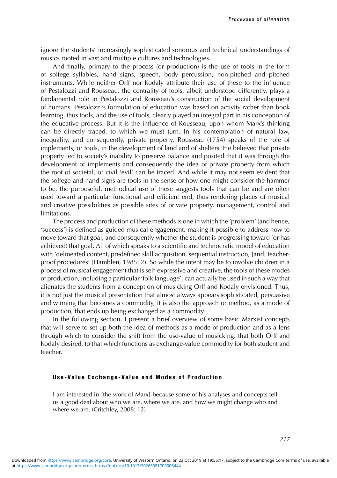*ignore the students' increasingly sophisticated sonorous and technical understandings of musics rooted in vast and multiple cultures and technologies.*

*And finally, primary to the process (or production) is the use of tools in the form of solfege syllables, hand signs, speech, body percussion, non-pitched and pitched instruments. While neither Orff nor Kodaly attribute their use of these to the influence of Pestalozzi and Rousseau, the centrality of tools, albeit understood differently, plays a fundamental role in Pestalozzi and Rousseau's construction of the social development of humans. Pestalozzi's formulation of education was based on activity rather than book learning, thus tools, and the use of tools, clearly played an integral part in his conception of the educative process. But it is the influence of Rousseau, upon whom Marx's thinking can be directly traced, to which we must turn. In his contemplation of natural law, inequality, and consequently, private property, Rousseau (1754) speaks of the role of implements, or tools, in the development of land and of shelters. He believed that private property led to society's inability to preserve balance and posited that it was through the development of implements and consequently the idea of private property from which the root of societal, or civil 'evil' can be traced. And while it may not seem evident that the solfege and hand-signs are tools in the sense of how one might consider the hammer to be, the purposeful, methodical use of these suggests tools that can be and are often used toward a particular functional and efficient end, thus rendering places of musical and creative possibilities as possible sites of private property, management, control and limitations.*

*The process and production of these methods is one in which the 'problem' (and hence, 'success') is defined as guided musical engagement, making it possible to address how to move toward that goal, and consequently whether the student is progressing toward (or has achieved) that goal. All of which speaks to a scientific and technocratic model of education with 'delineated content, predefined skill acquisition, sequential instruction, [and] teacherproof procedures' (Hamblen, 1985: 2). So while the intent may be to involve children in a process of musical engagement that is self-expressive and creative, the tools of these modes of production, including a particular 'folk language', can actually be used in such a way that alienates the students from a conception of musicking Orff and Kodaly envisioned. Thus, it is not just the musical presentation that almost always appears sophisticated, persuasive and winning that becomes a commodity, it is also the approach or method, as a mode of production, that ends up being exchanged as a commodity.*

*In the following section, I present a brief overview of some basic Marxist concepts that will serve to set up both the idea of methods as a mode of production and as a lens through which to consider the shift from the use-value of musicking, that both Orff and Kodaly desired, to that which functions as exchange-value commodity for both student and teacher.*

#### **Use-Value Exchange-Value and Modes of Production**

*I* am interested in [the work of Marx] because some of his analyses and concepts tell *us a good deal about who we are, where we are, and how we might change who and where we are. (Critchley, 2008: 12)*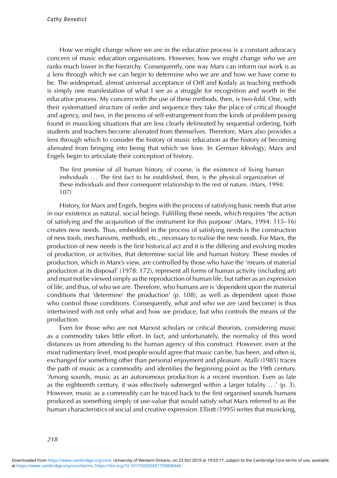*How we might change where we are in the educative process is a constant advocacy concern of music education organisations. However, how we might change who we are ranks much lower in the hierarchy. Consequently, one way Marx can inform our work is as a lens through which we can begin to determine who we are and how we have come to be. The widespread, almost universal acceptance of Orff and Kodaly as teaching methods is simply one manifestation of what I see as a struggle for recognition and worth in the educative process. My concern with the use of these methods, then, is two-fold. One, with their systematised structure of order and sequence they take the place of critical thought and agency, and two, in the process of self-estrangement from the kinds of problem posing found in musicking situations that are less clearly delineated by sequential ordering, both students and teachers become alienated from themselves. Therefore, Marx also provides a lens through which to consider the history of music education as the history of becoming alienated from bringing into being that which we love. In German Ideology, Marx and Engels begin to articulate their conception of history.*

*The first premise of all human history, of course, is the existence of living human individuals* ... *The first fact to be established, then, is the physical organization of these individuals and their consequent relationship to the rest of nature. (Marx, 1994: 107)*

*History, for Marx and Engels, begins with the process of satisfying basic needs that arise in our existence as natural, social beings. Fulfilling these needs, which requires 'the action of satisfying and the acquisition of the instrument for this purpose' (Marx, 1994: 115–16) creates new needs. Thus, embedded in the process of satisfying needs is the construction of new tools, mechanisms, methods, etc., necessary to realise the new needs. For Marx, the production of new needs is the first historical act and it is the differing and evolving modes of production, or activities, that determine social life and human history. These modes of production, which in Marx's view, are controlled by those who have the 'means of material production at its disposal' (1978: 172), represent all forms of human activity (including art) and must not be viewed simply as the reproduction of human life, but rather as an expression of life, and thus, of who we are. Therefore, who humans are is 'dependent upon the material conditions that 'determine' the production' (p. 108), as well as dependent upon those who control those conditions. Consequently, what and who we are (and become) is thus intertwined with not only what and how we produce, but who controls the means of the production.*

*Even for those who are not Marxist scholars or critical theorists, considering music as a commodity takes little effort. In fact, and unfortunately, the normalcy of this word distances us from attending to the human agency of this construct. However, even at the most rudimentary level, most people would agree that music can be, has been, and often is, exchanged for something other than personal enjoyment and pleasure. Atalli (1985) traces the path of music as a commodity and identifies the beginning point as the 19th century. 'Among sounds, music as an autonomous production is a recent invention. Even as late as the eighteenth century, it was effectively submerged within a larger totality* ...*' (p. 3). However, music as a commodity can be traced back to the first organised sounds humans produced as something simply of use-value that would satisfy what Marx referred to as the human characteristics of social and creative expression. Elliott (1995) writes that musicking,*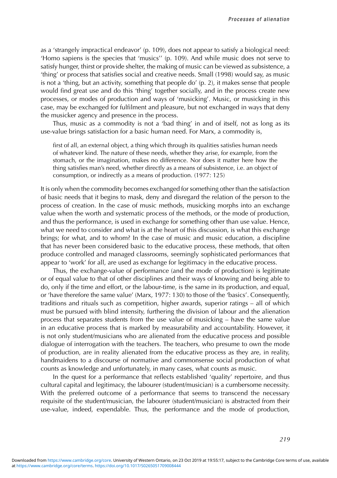*as a 'strangely impractical endeavor' (p. 109), does not appear to satisfy a biological need: 'Homo sapiens is the species that 'musics'' (p. 109). And while music does not serve to satisfy hunger, thirst or provide shelter, the making of music can be viewed as subsistence, a 'thing' or process that satisfies social and creative needs. Small (1998) would say, as music is not a 'thing, but an activity, something that people do' (p. 2), it makes sense that people would find great use and do this 'thing' together socially, and in the process create new processes, or modes of production and ways of 'musicking'. Music, or musicking in this case, may be exchanged for fulfilment and pleasure, but not exchanged in ways that deny the musicker agency and presence in the process.*

*Thus, music as a commodity is not a 'bad thing' in and of itself, not as long as its use-value brings satisfaction for a basic human need. For Marx, a commodity is,*

*first of all, an external object, a thing which through its qualities satisfies human needs of whatever kind. The nature of these needs, whether they arise, for example, from the stomach, or the imagination, makes no difference. Nor does it matter here how the thing satisfies man's need, whether directly as a means of subsistence, i.e. an object of consumption, or indirectly as a means of production. (1977: 125)*

*It is only when the commodity becomes exchanged for something other than the satisfaction of basic needs that it begins to mask, deny and disregard the relation of the person to the process of creation. In the case of music methods, musicking morphs into an exchange value when the worth and systematic process of the methods, or the mode of production, and thus the performance, is used in exchange for something other than use value. Hence, what we need to consider and what is at the heart of this discussion, is what this exchange brings; for what, and to whom? In the case of music and music education, a discipline that has never been considered basic to the educative process, these methods, that often produce controlled and managed classrooms, seemingly sophisticated performances that appear to 'work' for all, are used as exchange for legitimacy in the educative process.*

*Thus, the exchange-value of performance (and the mode of production) is legitimate or of equal value to that of other disciplines and their ways of knowing and being able to do, only if the time and effort, or the labour-time, is the same in its production, and equal, or 'have therefore the same value' (Marx, 1977: 130) to those of the 'basics'. Consequently, traditions and rituals such as competition, higher awards, superior ratings – all of which must be pursued with blind intensity, furthering the division of labour and the alienation process that separates students from the use value of musicking – have the same value in an educative process that is marked by measurability and accountability. However, it is not only student/musicians who are alienated from the educative process and possible dialogue of interrogation with the teachers. The teachers, who presume to own the mode of production, are in reality alienated from the educative process as they are, in reality, handmaidens to a discourse of normative and commonsense social production of what counts as knowledge and unfortunately, in many cases, what counts as music.*

*In the quest for a performance that reflects established 'quality' repertoire, and thus cultural capital and legitimacy, the labourer (student/musician) is a cumbersome necessity. With the preferred outcome of a performance that seems to transcend the necessary requisite of the student/musician, the labourer (student/musician) is abstracted from their use-value, indeed, expendable. Thus, the performance and the mode of production,*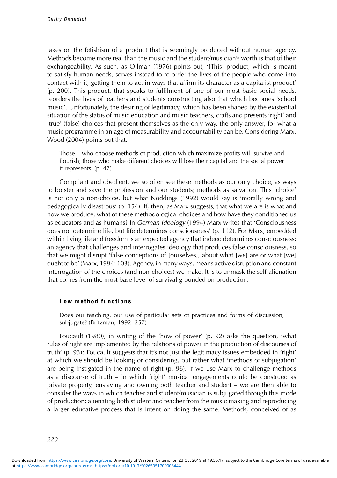*takes on the fetishism of a product that is seemingly produced without human agency. Methods become more real than the music and the student/musician's worth is that of their exchangeability. As such, as Ollman (1976) points out, '[This] product, which is meant to satisfy human needs, serves instead to re-order the lives of the people who come into contact with it, getting them to act in ways that affirm its character as a capitalist product' (p. 200). This product, that speaks to fulfilment of one of our most basic social needs, reorders the lives of teachers and students constructing also that which becomes 'school music'. Unfortunately, the desiring of legitimacy, which has been shaped by the existential situation of the status of music education and music teachers, crafts and presents 'right' and 'true' (false) choices that present themselves as the only way, the only answer, for what a music programme in an age of measurability and accountability can be. Considering Marx, Wood (2004) points out that,*

*Those*...*who choose methods of production which maximize profits will survive and flourish; those who make different choices will lose their capital and the social power it represents. (p. 47)*

*Compliant and obedient, we so often see these methods as our only choice, as ways to bolster and save the profession and our students; methods as salvation. This 'choice' is not only a non-choice, but what Noddings (1992) would say is 'morally wrong and pedagogically disastrous' (p. 154). If, then, as Marx suggests, that what we are is what and how we produce, what of these methodological choices and how have they conditioned us as educators and as humans? In German Ideology (1994) Marx writes that 'Consciousness does not determine life, but life determines consciousness' (p. 112). For Marx, embedded within living life and freedom is an expected agency that indeed determines consciousness; an agency that challenges and interrogates ideology that produces false consciousness, so that we might disrupt 'false conceptions of [ourselves], about what [we] are or what [we] ought to be' (Marx, 1994: 103). Agency, in many ways, means active disruption and constant interrogation of the choices (and non-choices) we make. It is to unmask the self-alienation that comes from the most base level of survival grounded on production.*

#### **How method functions**

*Does our teaching, our use of particular sets of practices and forms of discussion, subjugate? (Britzman, 1992: 257)*

*Foucault (1980), in writing of the 'how of power' (p. 92) asks the question, 'what rules of right are implemented by the relations of power in the production of discourses of truth' (p. 93)? Foucault suggests that it's not just the legitimacy issues embedded in 'right' at which we should be looking or considering, but rather what 'methods of subjugation' are being instigated in the name of right (p. 96). If we use Marx to challenge methods as a discourse of truth – in which 'right' musical engagements could be construed as private property, enslaving and owning both teacher and student – we are then able to consider the ways in which teacher and student/musician is subjugated through this mode of production; alienating both student and teacher from the music making and reproducing a larger educative process that is intent on doing the same. Methods, conceived of as*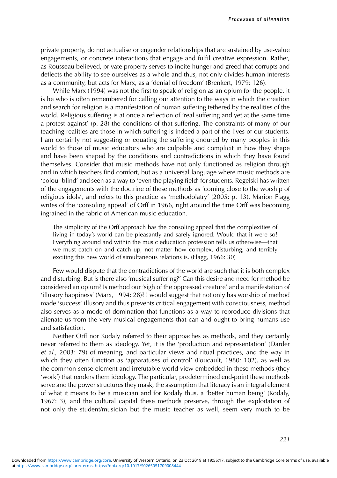*private property, do not actualise or engender relationships that are sustained by use-value engagements, or concrete interactions that engage and fulfil creative expression. Rather, as Rousseau believed, private property serves to incite hunger and greed that corrupts and deflects the ability to see ourselves as a whole and thus, not only divides human interests as a community, but acts for Marx, as a 'denial of freedom' (Brenkert, 1979: 126).*

*While Marx (1994) was not the first to speak of religion as an opium for the people, it is he who is often remembered for calling our attention to the ways in which the creation and search for religion is a manifestation of human suffering tethered by the realities of the world. Religious suffering is at once a reflection of 'real suffering and yet at the same time a protest against' (p. 28) the conditions of that suffering. The constraints of many of our teaching realities are those in which suffering is indeed a part of the lives of our students. I am certainly not suggesting or equating the suffering endured by many peoples in this world to those of music educators who are culpable and complicit in how they shape and have been shaped by the conditions and contradictions in which they have found themselves. Consider that music methods have not only functioned as religion through and in which teachers find comfort, but as a universal language where music methods are 'colour blind' and seen as a way to 'even the playing field' for students. Regelski has written of the engagements with the doctrine of these methods as 'coming close to the worship of religious idols', and refers to this practice as 'methodolatry' (2005: p. 13). Marion Flagg writes of the 'consoling appeal' of Orff in 1966, right around the time Orff was becoming ingrained in the fabric of American music education.*

*The simplicity of the Orff approach has the consoling appeal that the complexities of living in today's world can be pleasantly and safely ignored. Would that it were so! Everything around and within the music education profession tells us otherwise—that we must catch on and catch up, not matter how complex, disturbing, and terribly exciting this new world of simultaneous relations is. (Flagg, 1966: 30)*

*Few would dispute that the contradictions of the world are such that it is both complex and disturbing. But is there also 'musical suffering?' Can this desire and need for method be considered an opium? Is method our 'sigh of the oppressed creature' and a manifestation of 'illusory happiness' (Marx, 1994: 28)? I would suggest that not only has worship of method made 'success' illusory and thus prevents critical engagement with consciousness, method also serves as a mode of domination that functions as a way to reproduce divisions that alienate us from the very musical engagements that can and ought to bring humans use and satisfaction.*

*Neither Orff nor Kodaly referred to their approaches as methods, and they certainly never referred to them as ideology. Yet, it is the 'production and representation' (Darder et al., 2003: 79) of meaning, and particular views and ritual practices, and the way in which they often function as 'apparatuses of control' (Foucault, 1980: 102), as well as the common-sense element and irrefutable world view embedded in these methods (they 'work') that renders them ideology. The particular, predetermined end-point these methods serve and the power structures they mask, the assumption that literacy is an integral element of what it means to be a musician and for Kodaly thus, a 'better human being' (Kodaly, 1967: 3), and the cultural capital these methods preserve, through the exploitation of not only the student/musician but the music teacher as well, seem very much to be*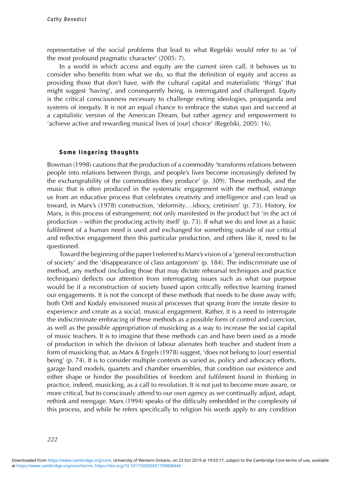*representative of the social problems that lead to what Regelski would refer to as 'of the most profound pragmatic character' (2005: 7).*

*In a world in which access and equity are the current siren call, it behoves us to consider who benefits from what we do, so that the definition of equity and access as providing those that don't have, with the cultural capital and materialistic 'things' that might suggest 'having', and consequently being, is interrogated and challenged. Equity is the critical consciousness necessary to challenge exiting ideologies, propaganda and systems of inequity. It is not an equal chance to embrace the status quo and succeed at a capitalistic version of the American Dream, but rather agency and empowerment to 'achieve active and rewarding musical lives of [our] choice' (Regelski, 2005: 16).*

#### **Some lingering thoughts**

*Bowman (1998) cautions that the production of a commodity 'transforms relations between people into relations between things, and people's lives become increasingly defined by the exchangeability of the commodities they produce' (p. 309). These methods, and the music that is often produced in the systematic engagement with the method, estrange us from an educative process that celebrates creativity and intelligence and can lead us toward, in Marx's (1978) construction, 'deformity*...*idiocy, cretinism' (p. 73). History, for Marx, is this process of estrangement; not only manifested in the product but 'in the act of production – within the producing activity itself' (p. 73). If what we do and love as a basic fulfilment of a human need is used and exchanged for something outside of our critical and reflective engagement then this particular production, and others like it, need to be questioned.*

*Toward the beginning of the paper I referred to Marx's vision of a 'general reconstruction of society' and the 'disappearance of class antagonism' (p. 184). The indiscriminate use of method, any method (including those that may dictate rehearsal techniques and practice techniques) deflects our attention from interrogating issues such as what our purpose would be if a reconstruction of society based upon critically reflective learning framed our engagements. It is not the concept of these methods that needs to be done away with; both Orff and Kodaly envisioned musical processes that sprang from the innate desire to experience and create as a social, musical engagement. Rather, it is a need to interrogate the indiscriminate embracing of these methods as a possible form of control and coercion, as well as the possible appropriation of musicking as a way to increase the social capital of music teachers. It is to imagine that these methods can and have been used as a mode of production in which the division of labour alienates both teacher and student from a form of musicking that, as Marx & Engels (1978) suggest, 'does not belong to [our] essential being' (p. 74). It is to consider multiple contexts as varied as, policy and advocacy efforts, garage band models, quartets and chamber ensembles, that condition our existence and either shape or hinder the possibilities of freedom and fulfilment found in thinking in practice, indeed, musicking, as a call to revolution. It is not just to become more aware, or more critical, but to consciously attend to our own agency as we continually adjust, adapt, rethink and reengage. Marx (1994) speaks of the difficulty embedded in the complexity of this process, and while he refers specifically to religion his words apply to any condition*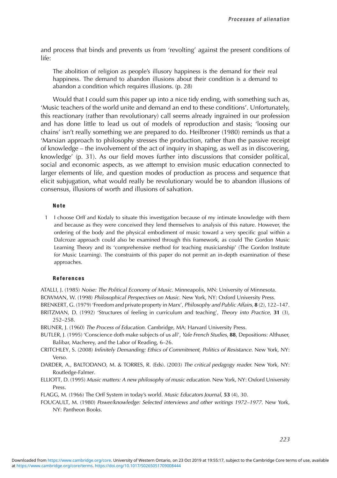*and process that binds and prevents us from 'revolting' against the present conditions of life:*

*The abolition of religion as people's illusory happiness is the demand for their real happiness. The demand to abandon illusions about their condition is a demand to abandon a condition which requires illusions. (p. 28)*

*Would that I could sum this paper up into a nice tidy ending, with something such as, 'Music teachers of the world unite and demand an end to these conditions'. Unfortunately, this reactionary (rather than revolutionary) call seems already ingrained in our profession and has done little to lead us out of models of reproduction and stasis; 'loosing our chains' isn't really something we are prepared to do. Heilbroner (1980) reminds us that a 'Marxian approach to philosophy stresses the production, rather than the passive receipt of knowledge – the involvement of the act of inquiry in shaping, as well as in discovering, knowledge' (p. 31). As our field moves further into discussions that consider political, social and economic aspects, as we attempt to envision music education connected to larger elements of life, and question modes of production as process and sequence that elicit subjugation, what would really be revolutionary would be to abandon illusions of consensus, illusions of worth and illusions of salvation.*

#### **Note**

*1 I choose Orff and Kodaly to situate this investigation because of my intimate knowledge with them and because as they were conceived they lend themselves to analysis of this nature. However, the ordering of the body and the physical embodiment of music toward a very specific goal within a Dalcroze approach could also be examined through this framework, as could The Gordon Music Learning Theory and its 'comprehensive method for teaching musicianship' (The Gordon Institute for Music Learning). The constraints of this paper do not permit an in-depth examination of these approaches.*

#### **References**

*ATALLI, J. (1985) Noise: The Political Economy of Music. Minneapolis, MN: University of Minnesota.*

*BOWMAN, W. (1998) Philosophical Perspectives on Music. New York, NY: Oxford University Press.*

- *BRENKERT, G. (1979) 'Freedom and private property in Marx', Philosophy and Public Affairs,* **8** *(2), 122–147. BRITZMAN, D. (1992) 'Structures of feeling in curriculum and teaching', Theory into Practice,* **31** *(3), 252–258.*
- *BRUNER, J. (1960) The Process of Education. Cambridge, MA: Harvard University Press.*
- *BUTLER, J. (1995) 'Conscience doth make subjects of us all', Yale French Studies,* **88***, Depositions: Althuser, Balibar, Macherey, and the Labor of Reading, 6–26.*
- *CRITCHLEY, S. (2008) Infinitely Demanding: Ethics of Commitment, Politics of Resistance. New York, NY: Verso.*

*DARDER, A., BALTODANO, M. & TORRES, R. (Eds). (2003) The critical pedagogy reader. New York, NY: Routledge-Falmer.*

- ELLIOTT, D. (1995) Music matters: A new philosophy of music education. New York, NY: Oxford University *Press.*
- *FLAGG, M. (1966) The Orff System in today's world. Music Educators Journal,* **53** *(4), 30.*
- *FOUCAULT, M. (1980) Power/knowledge: Selected interviews and other writings 1972–1977. New York, NY: Pantheon Books.*